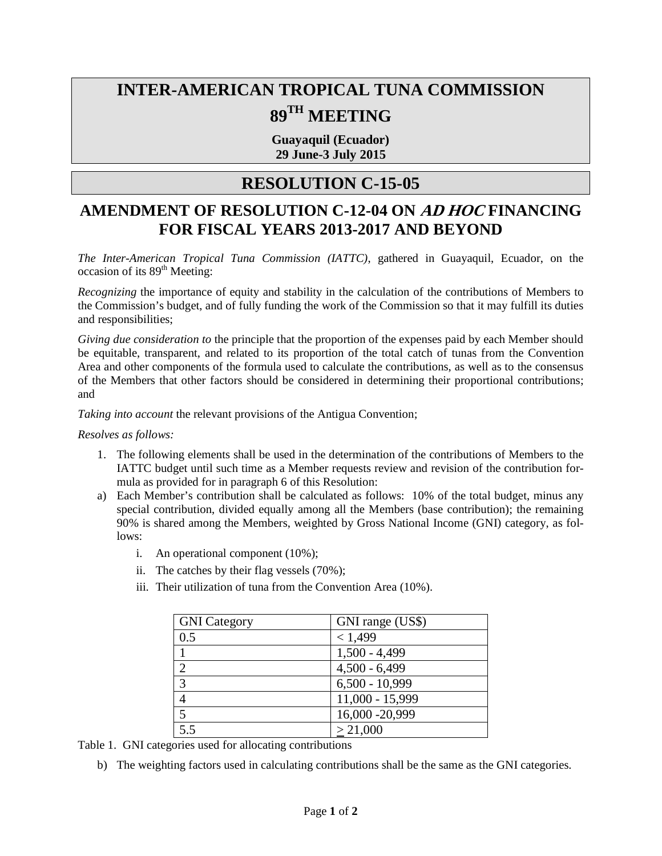## **INTER-AMERICAN TROPICAL TUNA COMMISSION 89TH MEETING**

**Guayaquil (Ecuador) 29 June-3 July 2015**

## **RESOLUTION C-15-05**

## **AMENDMENT OF RESOLUTION C-12-04 ON AD HOC FINANCING FOR FISCAL YEARS 2013-2017 AND BEYOND**

*The Inter-American Tropical Tuna Commission (IATTC)*, gathered in Guayaquil, Ecuador, on the occasion of its 89<sup>th</sup> Meeting:

*Recognizing* the importance of equity and stability in the calculation of the contributions of Members to the Commission's budget, and of fully funding the work of the Commission so that it may fulfill its duties and responsibilities;

*Giving due consideration to* the principle that the proportion of the expenses paid by each Member should be equitable, transparent, and related to its proportion of the total catch of tunas from the Convention Area and other components of the formula used to calculate the contributions, as well as to the consensus of the Members that other factors should be considered in determining their proportional contributions; and

*Taking into account* the relevant provisions of the Antigua Convention;

*Resolves as follows:* 

- 1. The following elements shall be used in the determination of the contributions of Members to the IATTC budget until such time as a Member requests review and revision of the contribution formula as provided for in paragraph 6 of this Resolution:
- a) Each Member's contribution shall be calculated as follows: 10% of the total budget, minus any special contribution, divided equally among all the Members (base contribution); the remaining 90% is shared among the Members, weighted by Gross National Income (GNI) category, as follows:
	- i. An operational component (10%);
	- ii. The catches by their flag vessels (70%);
	- iii. Their utilization of tuna from the Convention Area (10%).

| <b>GNI</b> Category         | GNI range (US\$) |
|-----------------------------|------------------|
| 0.5                         | < 1,499          |
|                             | $1,500 - 4,499$  |
| $\mathcal{D}_{\mathcal{L}}$ | $4,500 - 6,499$  |
| 3                           | $6,500 - 10,999$ |
| 4                           | 11,000 - 15,999  |
|                             | 16,000 - 20,999  |
| 5.5                         | > 21,000         |

Table 1. GNI categories used for allocating contributions

b) The weighting factors used in calculating contributions shall be the same as the GNI categories.